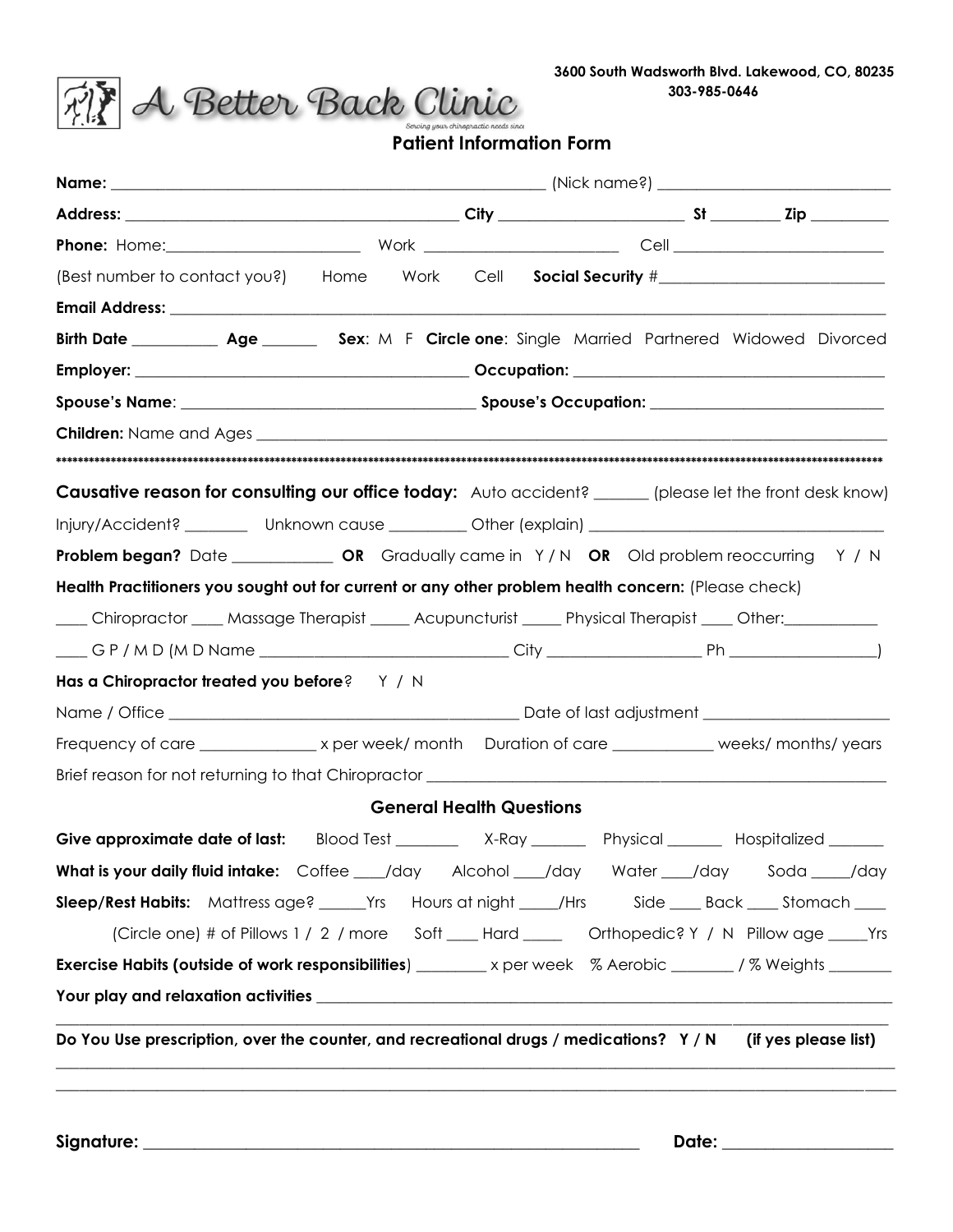**3600 South Wadsworth Blvd. Lakewood, CO, 80235 303-985-0646** 



## **Patient Information Form**

| (Best number to contact you?) Home Work Cell Social Security #___________________                                   |  |                                 |  |                      |  |  |
|---------------------------------------------------------------------------------------------------------------------|--|---------------------------------|--|----------------------|--|--|
|                                                                                                                     |  |                                 |  |                      |  |  |
| Birth Date ____________ Age __________ Sex: M F Circle one: Single Married Partnered Widowed Divorced               |  |                                 |  |                      |  |  |
|                                                                                                                     |  |                                 |  |                      |  |  |
|                                                                                                                     |  |                                 |  |                      |  |  |
|                                                                                                                     |  |                                 |  |                      |  |  |
|                                                                                                                     |  |                                 |  |                      |  |  |
| <b>Causative reason for consulting our office today:</b> Auto accident? ______ (please let the front desk know)     |  |                                 |  |                      |  |  |
| Injury/Accident? _________ Unknown cause __________ Other (explain) ________________________________                |  |                                 |  |                      |  |  |
|                                                                                                                     |  |                                 |  |                      |  |  |
| Health Practitioners you sought out for current or any other problem health concern: (Please check)                 |  |                                 |  |                      |  |  |
| ____ Chiropractor ____ Massage Therapist _____ Acupuncturist _____ Physical Therapist ____ Other: ___________       |  |                                 |  |                      |  |  |
|                                                                                                                     |  |                                 |  |                      |  |  |
| Has a Chiropractor treated you before? $Y / N$                                                                      |  |                                 |  |                      |  |  |
|                                                                                                                     |  |                                 |  |                      |  |  |
|                                                                                                                     |  |                                 |  |                      |  |  |
|                                                                                                                     |  |                                 |  |                      |  |  |
|                                                                                                                     |  | <b>General Health Questions</b> |  |                      |  |  |
| Give approximate date of last: Blood Test _______ X-Ray ______ Physical _____ Hospitalized _____                    |  |                                 |  |                      |  |  |
| What is your daily fluid intake: Coffee ___/day Alcohol ___/day Water ___/day Soda ____/day                         |  |                                 |  |                      |  |  |
| Sleep/Rest Habits: Mattress age? _______Yrs Hours at night _____/Hrs Side _____Back _____Stomach ____               |  |                                 |  |                      |  |  |
| (Circle one) # of Pillows 1 / 2 / more Soft ____ Hard _____ Orthopedic? Y / N Pillow age _____ Yrs                  |  |                                 |  |                      |  |  |
| <b>Exercise Habits (outside of work responsibilities)</b> _________ x per week % Aerobic _______/% Weights ________ |  |                                 |  |                      |  |  |
|                                                                                                                     |  |                                 |  |                      |  |  |
|                                                                                                                     |  |                                 |  |                      |  |  |
| Do You Use prescription, over the counter, and recreational drugs / medications? Y/N                                |  |                                 |  | (if yes please list) |  |  |
|                                                                                                                     |  |                                 |  |                      |  |  |
|                                                                                                                     |  |                                 |  |                      |  |  |

**Signature: \_\_\_\_\_\_\_\_\_\_\_\_\_\_\_\_\_\_\_\_\_\_\_\_\_\_\_\_\_\_\_\_\_\_\_\_\_\_\_\_\_\_\_\_\_\_\_\_\_\_\_\_\_\_\_\_\_\_ Date: \_\_\_\_\_\_\_\_\_\_\_\_\_\_\_\_\_\_\_\_**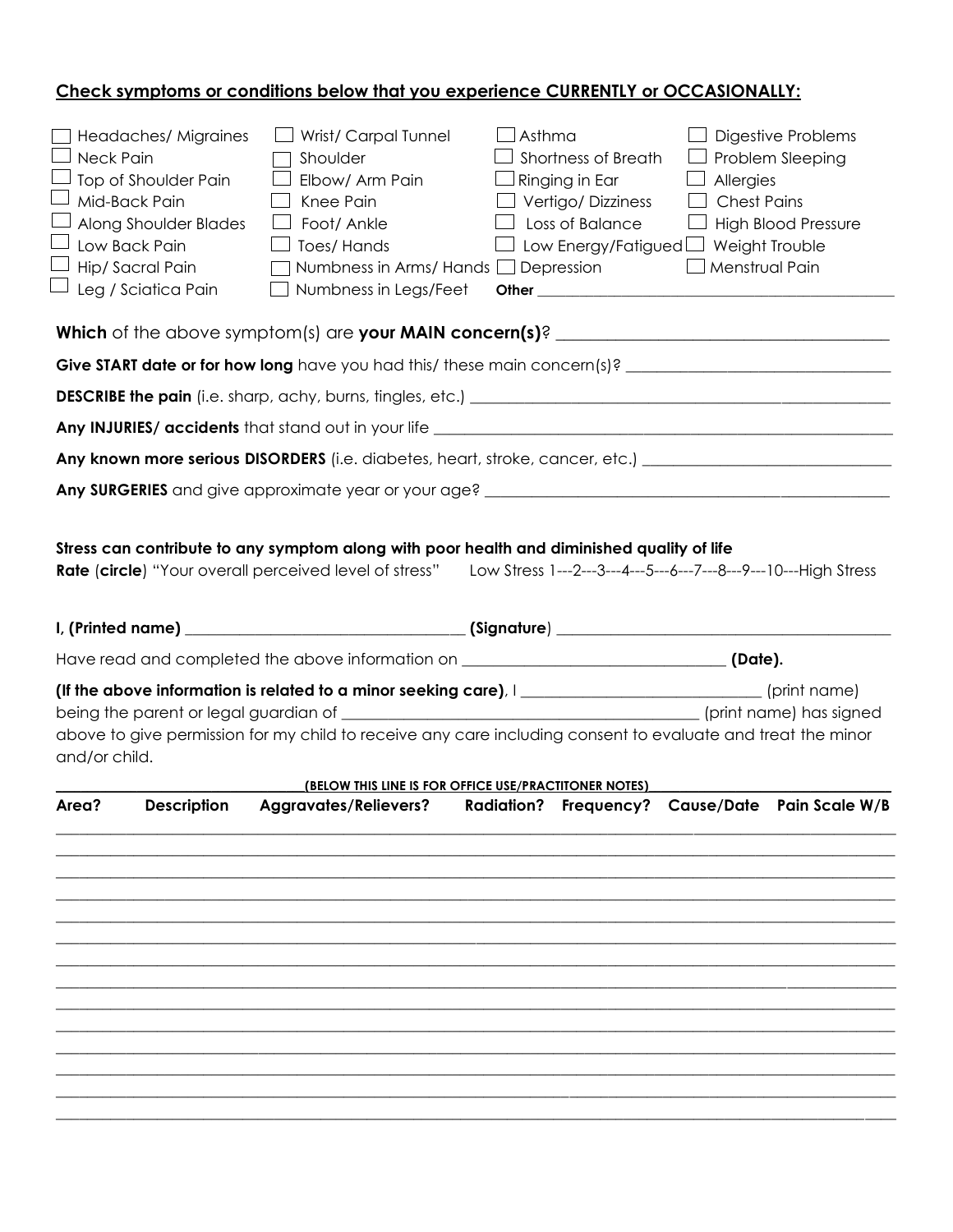# **Check symptoms or conditions below that you experience CURRENTLY or OCCASIONALLY:**

| <b>Neck Pain</b> | Headaches/ Migraines<br>Top of Shoulder Pain<br>Mid-Back Pain<br>Along Shoulder Blades<br>Low Back Pain<br>Hip/Sacral Pain<br>Leg / Sciatica Pain | Wrist/ Carpal Tunnel<br>Shoulder<br>Elbow/ Arm Pain<br>Knee Pain<br>Foot/ Ankle<br>Toes/Hands<br>$\mathbf{I}$<br>Numbness in Arms/Hands $\Box$ Depression<br>Numbness in Legs/Feet                                    | $\lrcorner$ Asthma | Shortness of Breath<br>$\Box$ Ringing in Ear<br>$\Box$ Vertigo/ Dizziness<br>$\Box$ Loss of Balance<br>□ Low Energy/Fatigued □ Weight Trouble | Allergies<br><b>Chest Pains</b><br>Menstrual Pain | <b>Digestive Problems</b><br>Problem Sleeping<br><b>High Blood Pressure</b> |
|------------------|---------------------------------------------------------------------------------------------------------------------------------------------------|-----------------------------------------------------------------------------------------------------------------------------------------------------------------------------------------------------------------------|--------------------|-----------------------------------------------------------------------------------------------------------------------------------------------|---------------------------------------------------|-----------------------------------------------------------------------------|
|                  |                                                                                                                                                   | Which of the above symptom(s) are your MAIN concern(s)? _________________________                                                                                                                                     |                    |                                                                                                                                               |                                                   |                                                                             |
|                  |                                                                                                                                                   |                                                                                                                                                                                                                       |                    |                                                                                                                                               |                                                   |                                                                             |
|                  |                                                                                                                                                   |                                                                                                                                                                                                                       |                    |                                                                                                                                               |                                                   |                                                                             |
|                  |                                                                                                                                                   |                                                                                                                                                                                                                       |                    |                                                                                                                                               |                                                   |                                                                             |
|                  |                                                                                                                                                   | Any known more serious DISORDERS (i.e. diabetes, heart, stroke, cancer, etc.) ________________________________                                                                                                        |                    |                                                                                                                                               |                                                   |                                                                             |
|                  |                                                                                                                                                   |                                                                                                                                                                                                                       |                    |                                                                                                                                               |                                                   |                                                                             |
|                  |                                                                                                                                                   | Rate (circle) "Your overall perceived level of stress" Low Stress 1---2---3---4---5---6---7---8---9---10---High Stress                                                                                                |                    |                                                                                                                                               |                                                   |                                                                             |
|                  |                                                                                                                                                   |                                                                                                                                                                                                                       |                    |                                                                                                                                               |                                                   |                                                                             |
|                  |                                                                                                                                                   |                                                                                                                                                                                                                       |                    |                                                                                                                                               |                                                   |                                                                             |
| and/or child.    |                                                                                                                                                   | (If the above information is related to a minor seeking care), I__________________________(print name)<br>above to give permission for my child to receive any care including consent to evaluate and treat the minor |                    |                                                                                                                                               |                                                   |                                                                             |
|                  |                                                                                                                                                   | (BELOW THIS LINE IS FOR OFFICE USE/PRACTITONER NOTES)                                                                                                                                                                 |                    |                                                                                                                                               |                                                   |                                                                             |
| Area?            | <b>Description</b>                                                                                                                                | <b>Aggravates/Relievers?</b>                                                                                                                                                                                          |                    |                                                                                                                                               |                                                   | Radiation? Frequency? Cause/Date Pain Scale W/B                             |
|                  |                                                                                                                                                   |                                                                                                                                                                                                                       |                    |                                                                                                                                               |                                                   |                                                                             |
|                  |                                                                                                                                                   |                                                                                                                                                                                                                       |                    |                                                                                                                                               |                                                   |                                                                             |
|                  |                                                                                                                                                   |                                                                                                                                                                                                                       |                    |                                                                                                                                               |                                                   |                                                                             |
|                  |                                                                                                                                                   |                                                                                                                                                                                                                       |                    |                                                                                                                                               |                                                   |                                                                             |
|                  |                                                                                                                                                   |                                                                                                                                                                                                                       |                    |                                                                                                                                               |                                                   |                                                                             |
|                  |                                                                                                                                                   |                                                                                                                                                                                                                       |                    |                                                                                                                                               |                                                   |                                                                             |
|                  |                                                                                                                                                   |                                                                                                                                                                                                                       |                    |                                                                                                                                               |                                                   |                                                                             |
|                  |                                                                                                                                                   |                                                                                                                                                                                                                       |                    |                                                                                                                                               |                                                   |                                                                             |